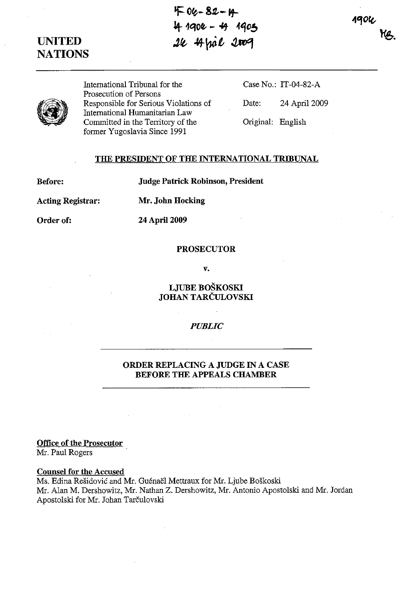$400 - 82 - 4$  $44.1904 - 49.1905$ **Jfl;** *\*yuit* ~Rl4

**UNITED NATIONS** 

> International Tribunal for the Prosecution of Persons Responsible for Serious Violations of International Humanitarian Law Committed in the Territory of the former Yugoslavia Since 1991

Case No.: IT-04-82-A

Date: 24 April 2009

Original: English

# **THE PRESIDENT OF THE INTERNATIONAL TRIBUNAL**

**Before:** 

**Judge Patrick Robinson, President** 

**Acting Registrar: Mr. John Hocking** 

**24 April 2009** 

**Order of:** 

#### **PROSECUTOR**

**v.** 

**LJVBE BOSKOSKI JOHAN TARCULOVSKI** 

### *PUBLIC*

# **ORDER REPLACING A JUDGE IN A CASE BEFORE THE APPEALS CHAMBER**

**Office of the Prosecutor**  Mr. Paul Rogers

# **Counsel for the Accused**

Ms. Edina Rešidović and Mr. Guénaël Mettraux for Mr. Ljube Boškoski Mr. Alan M. Dershowitz, Mr. Nathan Z. Dershowitz, Mr. Antonio Apostolski and Mr. Jordan Apostolski for Mr. Johan Tarčulovski

**1904**